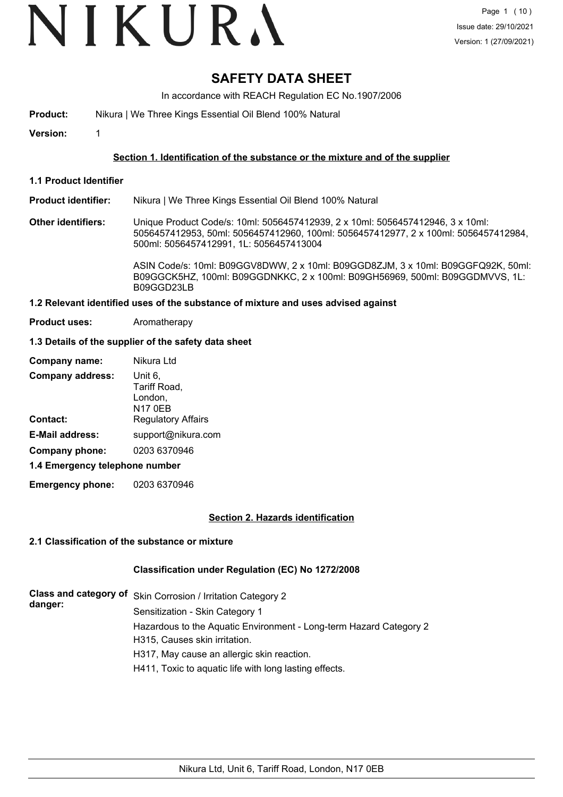## VIKURA

## **SAFETY DATA SHEET**

In accordance with REACH Regulation EC No.1907/2006

**Product:** Nikura | We Three Kings Essential Oil Blend 100% Natural

**Version:** 1

### **Section 1. Identification of the substance or the mixture and of the supplier**

**1.1 Product Identifier**

#### **Product identifier:** Nikura | We Three Kings Essential Oil Blend 100% Natural

**Other identifiers:** Unique Product Code/s: 10ml: 5056457412939, 2 x 10ml: 5056457412946, 3 x 10ml: 5056457412953, 50ml: 5056457412960, 100ml: 5056457412977, 2 x 100ml: 5056457412984, 500ml: 5056457412991, 1L: 5056457413004

> ASIN Code/s: 10ml: B09GGV8DWW, 2 x 10ml: B09GGD8ZJM, 3 x 10ml: B09GGFQ92K, 50ml: B09GGCK5HZ, 100ml: B09GGDNKKC, 2 x 100ml: B09GH56969, 500ml: B09GGDMVVS, 1L: B09GGD23LB

#### **1.2 Relevant identified uses of the substance of mixture and uses advised against**

**Product uses:** Aromatherapy

## **1.3 Details of the supplier of the safety data sheet**

| Company name:                  | Nikura Ltd                                           |
|--------------------------------|------------------------------------------------------|
| <b>Company address:</b>        | Unit 6,<br>Tariff Road,<br>London,<br><b>N17 0EB</b> |
| Contact:                       | <b>Regulatory Affairs</b>                            |
| <b>E-Mail address:</b>         | support@nikura.com                                   |
| Company phone:                 | 0203 6370946                                         |
| 1.4 Emergency telephone number |                                                      |

**Emergency phone:** 0203 6370946

## **Section 2. Hazards identification**

#### **2.1 Classification of the substance or mixture**

#### **Classification under Regulation (EC) No 1272/2008**

| danger: | Class and category of Skin Corrosion / Irritation Category 2       |
|---------|--------------------------------------------------------------------|
|         | Sensitization - Skin Category 1                                    |
|         | Hazardous to the Aquatic Environment - Long-term Hazard Category 2 |
|         | H315, Causes skin irritation.                                      |
|         | H317, May cause an allergic skin reaction.                         |
|         | H411, Toxic to aquatic life with long lasting effects.             |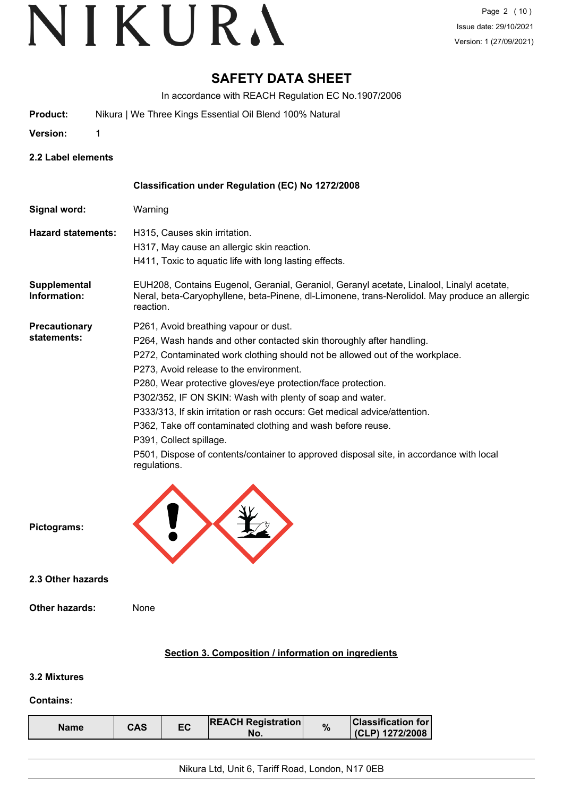## **SAFETY DATA SHEET**

In accordance with REACH Regulation EC No.1907/2006

**Product:** Nikura | We Three Kings Essential Oil Blend 100% Natural

**Version:** 1

**2.2 Label elements**

|                                     | Classification under Regulation (EC) No 1272/2008                                                                                                                                                                                                                                                                                                                                                                                                                                                                                                                                                                                                        |
|-------------------------------------|----------------------------------------------------------------------------------------------------------------------------------------------------------------------------------------------------------------------------------------------------------------------------------------------------------------------------------------------------------------------------------------------------------------------------------------------------------------------------------------------------------------------------------------------------------------------------------------------------------------------------------------------------------|
| Signal word:                        | Warning                                                                                                                                                                                                                                                                                                                                                                                                                                                                                                                                                                                                                                                  |
| <b>Hazard statements:</b>           | H315, Causes skin irritation.<br>H317, May cause an allergic skin reaction.<br>H411, Toxic to aquatic life with long lasting effects.                                                                                                                                                                                                                                                                                                                                                                                                                                                                                                                    |
| Supplemental<br>Information:        | EUH208, Contains Eugenol, Geranial, Geraniol, Geranyl acetate, Linalool, Linalyl acetate,<br>Neral, beta-Caryophyllene, beta-Pinene, dl-Limonene, trans-Nerolidol. May produce an allergic<br>reaction.                                                                                                                                                                                                                                                                                                                                                                                                                                                  |
| <b>Precautionary</b><br>statements: | P261, Avoid breathing vapour or dust.<br>P264, Wash hands and other contacted skin thoroughly after handling.<br>P272, Contaminated work clothing should not be allowed out of the workplace.<br>P273, Avoid release to the environment.<br>P280, Wear protective gloves/eye protection/face protection.<br>P302/352, IF ON SKIN: Wash with plenty of soap and water.<br>P333/313, If skin irritation or rash occurs: Get medical advice/attention.<br>P362, Take off contaminated clothing and wash before reuse.<br>P391, Collect spillage.<br>P501, Dispose of contents/container to approved disposal site, in accordance with local<br>regulations. |
| Pictograms:                         |                                                                                                                                                                                                                                                                                                                                                                                                                                                                                                                                                                                                                                                          |
| 2.3 Other hazards                   |                                                                                                                                                                                                                                                                                                                                                                                                                                                                                                                                                                                                                                                          |
| <b>Other hazards:</b>               | None                                                                                                                                                                                                                                                                                                                                                                                                                                                                                                                                                                                                                                                     |
|                                     | Section 3. Composition / information on ingredients                                                                                                                                                                                                                                                                                                                                                                                                                                                                                                                                                                                                      |

## **3.2 Mixtures**

## **Contains:**

| <b>Name</b> | CAS | EC | <b>REACH Registration</b><br>NO. | % | <b>Classification for</b><br>$(CLP)$ 1272/2008 |
|-------------|-----|----|----------------------------------|---|------------------------------------------------|
|-------------|-----|----|----------------------------------|---|------------------------------------------------|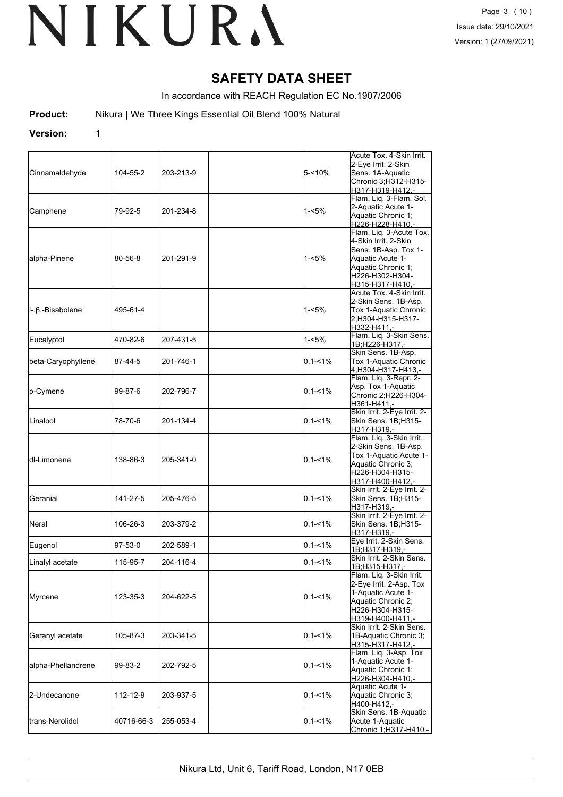## **SAFETY DATA SHEET**

In accordance with REACH Regulation EC No.1907/2006

**Product:** Nikura | We Three Kings Essential Oil Blend 100% Natural

**Version:** 1

Cinnamaldehyde 104-55-2 203-213-9 5-<10% Acute Tox. 4-Skin Irrit. 2-Eye Irrit. 2-Skin Sens. 1A-Aquatic Chronic 3;H312-H315- H317-H319-H412,- Camphene 79-92-5 201-234-8  $\vert$ Flam. Liq. 3-Flam. Sol. 2-Aquatic Acute 1- Aquatic Chronic 1; H<sub>226</sub>-H<sub>228</sub>-H<sub>410</sub> alpha-Pinene 80-56-8 201-291-9 1-<5% Flam. Liq. 3-Acute Tox. 4-Skin Irrit. 2-Skin Sens. 1B-Asp. Tox 1- Aquatic Acute 1- Aquatic Chronic 1; H226-H302-H304- H315-H317-H410, l-.β.-Bisabolene 495-61-4 1-<5% Acute Tox. 4-Skin Irrit. 2-Skin Sens. 1B-Asp. Tox 1-Aquatic Chronic 2;H304-H315-H317-  $H$ 332-H411. Eucalyptol 470-82-6 207-431-5 1-<5% Flam. Liq. 3-Skin Sens.<br>- 1-<5% Flam. Liq. 3-Skin Sens. 1B;H226-H317, beta-Caryophyllene 87-44-5 201-746-1 contract 0.1-<1% Skin Sens. 1B-Asp. Tox 1-Aquatic Chronic 4;H304-H317-H413, p-Cymene 99-87-6 202-796-7 0.1-<1% Flam. Liq. 3-Repr. 2- Asp. Tox 1-Aquatic Chronic 2;H226-H304- H361-H411, Linalool 78-70-6 201-134-4 0.1-<1% Skin Irrit. 2-Eye Irrit. 2- Skin Sens. 1B;H315- H317-H319 dl-Limonene 138-86-3 205-341-0 dl-Limonene 0.1-<1% Flam. Liq. 3-Skin Irrit. 2-Skin Sens. 1B-Asp. Tox 1-Aquatic Acute 1- Aquatic Chronic 3; H226-H304-H315- H317-H400-H412, Geranial 141-27-5 205-476-5 0.1-<1% Skin Irrit. 2-Eye Irrit. 2- Skin Sens. 1B;H315- H317-H319, Neral 106-26-3 203-379-2 0.1-<1% Skin Irrit. 2-Eye Irrit. 2- Skin Sens. 1B;H315- H<sub>317</sub>-H<sub>319</sub> Eugenol 97-53-0 202-589-1 0.1-<1% Eye Irrit. 2-Skin Sens. 1B;H317-H319,- Linalyl acetate 115-95-7 204-116-4 0.1-<1% Skin Irrit. 2-Skin Sens. 1B;H315-H317,- Myrcene 123-35-3 204-622-5 204-622-5 0.1-<1% Flam. Liq. 3-Skin Irrit. 2-Eye Irrit. 2-Asp. Tox 1-Aquatic Acute 1- Aquatic Chronic 2; H226-H304-H315- H319-H400-H411,- Geranyl acetate 105-87-3 203-341-5 0.1-<1% Skin Irrit. 2-Skin Sens. 1B-Aquatic Chronic 3; H315-H317-H412, alpha-Phellandrene 99-83-2 202-792-5 0.1-<1% Flam. Liq. 3-Asp. Tox 1-Aquatic Acute 1- Aquatic Chronic 1; H<sub>226</sub>-H<sub>304</sub>-H<sub>410</sub> 2-Undecanone 112-12-9 203-937-5 0.1-<1% Aquatic Acute 1- Aquatic Chronic 3; H400-H412, trans-Nerolidol 40716-66-3 255-053-4 0.1-<1% Skin Sens. 1B-Aquatic Acute 1-Aquatic Chronic 1;H317-H410,-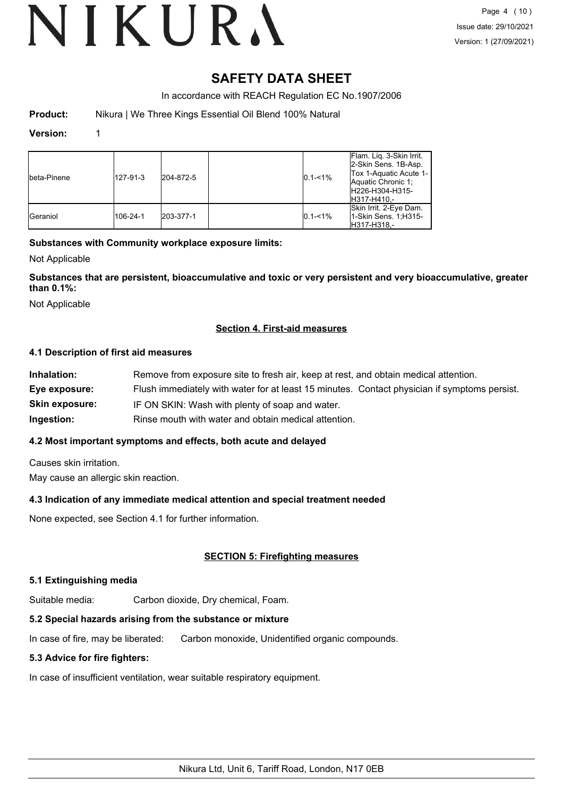## **SAFETY DATA SHEET**

In accordance with REACH Regulation EC No.1907/2006

**Product:** Nikura | We Three Kings Essential Oil Blend 100% Natural

## **Version:** 1

| Ibeta-Pinene      | 127-91-3 | 204-872-5 | $0.1 - 1\%$ | Flam. Lig. 3-Skin Irrit.<br>2-Skin Sens. 1B-Asp.<br>Tox 1-Aquatic Acute 1-<br>Aquatic Chronic 1:<br>H226-H304-H315-<br>H317-H410 - |
|-------------------|----------|-----------|-------------|------------------------------------------------------------------------------------------------------------------------------------|
| <b>I</b> Geraniol | 106-24-1 | 203-377-1 | $0.1 - 1\%$ | Skin Irrit. 2-Eye Dam.<br>1-Skin Sens. 1:H315-<br>H317-H318.-                                                                      |

## **Substances with Community workplace exposure limits:**

Not Applicable

**Substances that are persistent, bioaccumulative and toxic or very persistent and very bioaccumulative, greater than 0.1%:**

Not Applicable

## **Section 4. First-aid measures**

## **4.1 Description of first aid measures**

| Inhalation:           | Remove from exposure site to fresh air, keep at rest, and obtain medical attention.          |
|-----------------------|----------------------------------------------------------------------------------------------|
| Eye exposure:         | Flush immediately with water for at least 15 minutes. Contact physician if symptoms persist. |
| <b>Skin exposure:</b> | IF ON SKIN: Wash with plenty of soap and water.                                              |
| Ingestion:            | Rinse mouth with water and obtain medical attention.                                         |

## **4.2 Most important symptoms and effects, both acute and delayed**

Causes skin irritation.

May cause an allergic skin reaction.

## **4.3 Indication of any immediate medical attention and special treatment needed**

None expected, see Section 4.1 for further information.

## **SECTION 5: Firefighting measures**

## **5.1 Extinguishing media**

Suitable media: Carbon dioxide, Dry chemical, Foam.

## **5.2 Special hazards arising from the substance or mixture**

In case of fire, may be liberated: Carbon monoxide, Unidentified organic compounds.

## **5.3 Advice for fire fighters:**

In case of insufficient ventilation, wear suitable respiratory equipment.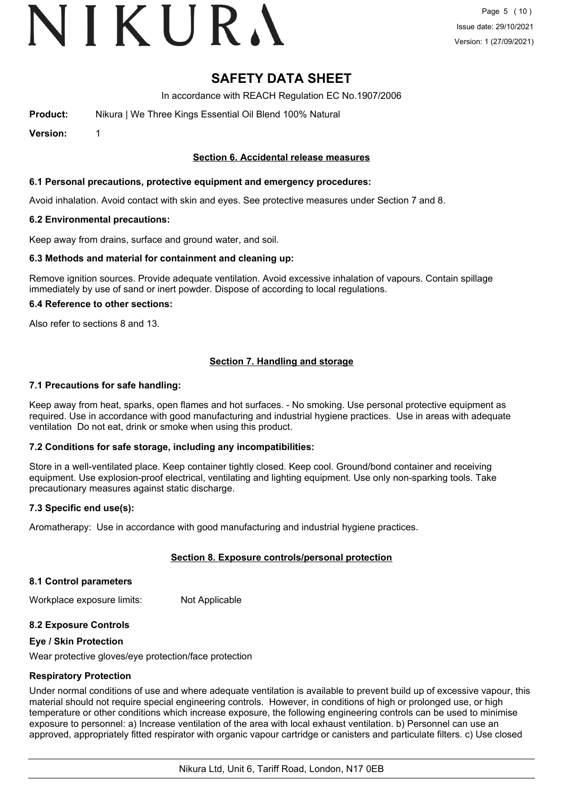# VIKURA

## **SAFETY DATA SHEET**

In accordance with REACH Regulation EC No.1907/2006

**Product:** Nikura | We Three Kings Essential Oil Blend 100% Natural

**Version:** 1

## **Section 6. Accidental release measures**

### **6.1 Personal precautions, protective equipment and emergency procedures:**

Avoid inhalation. Avoid contact with skin and eyes. See protective measures under Section 7 and 8.

### **6.2 Environmental precautions:**

Keep away from drains, surface and ground water, and soil.

### **6.3 Methods and material for containment and cleaning up:**

Remove ignition sources. Provide adequate ventilation. Avoid excessive inhalation of vapours. Contain spillage immediately by use of sand or inert powder. Dispose of according to local regulations.

### **6.4 Reference to other sections:**

Also refer to sections 8 and 13.

## **Section 7. Handling and storage**

### **7.1 Precautions for safe handling:**

Keep away from heat, sparks, open flames and hot surfaces. - No smoking. Use personal protective equipment as required. Use in accordance with good manufacturing and industrial hygiene practices. Use in areas with adequate ventilation Do not eat, drink or smoke when using this product.

## **7.2 Conditions for safe storage, including any incompatibilities:**

Store in a well-ventilated place. Keep container tightly closed. Keep cool. Ground/bond container and receiving equipment. Use explosion-proof electrical, ventilating and lighting equipment. Use only non-sparking tools. Take precautionary measures against static discharge.

## **7.3 Specific end use(s):**

Aromatherapy: Use in accordance with good manufacturing and industrial hygiene practices.

## **Section 8. Exposure controls/personal protection**

#### **8.1 Control parameters**

Workplace exposure limits: Not Applicable

## **8.2 Exposure Controls**

#### **Eye / Skin Protection**

Wear protective gloves/eye protection/face protection

## **Respiratory Protection**

Under normal conditions of use and where adequate ventilation is available to prevent build up of excessive vapour, this material should not require special engineering controls. However, in conditions of high or prolonged use, or high temperature or other conditions which increase exposure, the following engineering controls can be used to minimise exposure to personnel: a) Increase ventilation of the area with local exhaust ventilation. b) Personnel can use an approved, appropriately fitted respirator with organic vapour cartridge or canisters and particulate filters. c) Use closed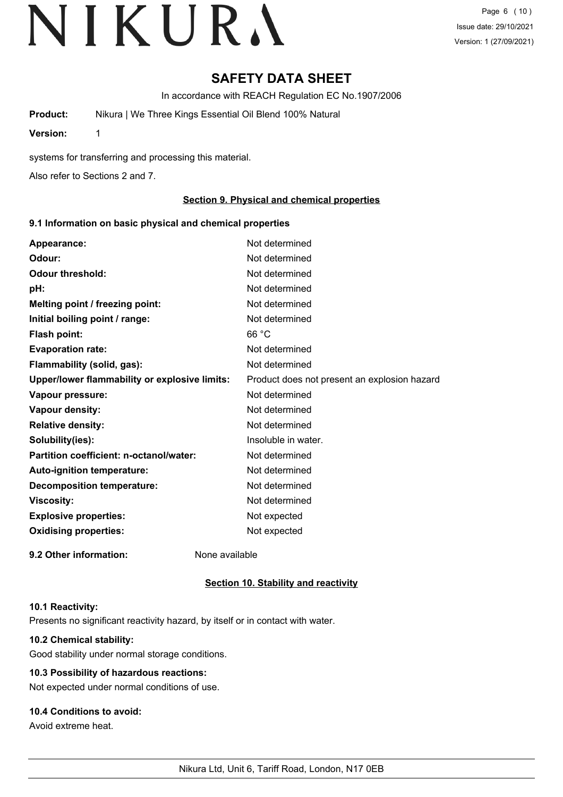## **SAFETY DATA SHEET**

In accordance with REACH Regulation EC No.1907/2006

**Product:** Nikura | We Three Kings Essential Oil Blend 100% Natural

**Version:** 1

systems for transferring and processing this material.

Also refer to Sections 2 and 7.

## **Section 9. Physical and chemical properties**

## **9.1 Information on basic physical and chemical properties**

| Appearance:                                   | Not determined                               |
|-----------------------------------------------|----------------------------------------------|
| Odour:                                        | Not determined                               |
| <b>Odour threshold:</b>                       | Not determined                               |
| pH:                                           | Not determined                               |
| Melting point / freezing point:               | Not determined                               |
| Initial boiling point / range:                | Not determined                               |
| <b>Flash point:</b>                           | 66 °C                                        |
| <b>Evaporation rate:</b>                      | Not determined                               |
| Flammability (solid, gas):                    | Not determined                               |
| Upper/lower flammability or explosive limits: | Product does not present an explosion hazard |
| Vapour pressure:                              | Not determined                               |
| Vapour density:                               | Not determined                               |
| <b>Relative density:</b>                      | Not determined                               |
| Solubility(ies):                              | Insoluble in water.                          |
| Partition coefficient: n-octanol/water:       | Not determined                               |
| Auto-ignition temperature:                    | Not determined                               |
| <b>Decomposition temperature:</b>             | Not determined                               |
| <b>Viscosity:</b>                             | Not determined                               |
| <b>Explosive properties:</b>                  | Not expected                                 |
| <b>Oxidising properties:</b>                  | Not expected                                 |
| 9.2 Other information:                        | None available                               |

## **Section 10. Stability and reactivity**

#### **10.1 Reactivity:**

Presents no significant reactivity hazard, by itself or in contact with water.

## **10.2 Chemical stability:**

Good stability under normal storage conditions.

## **10.3 Possibility of hazardous reactions:**

Not expected under normal conditions of use.

## **10.4 Conditions to avoid:**

Avoid extreme heat.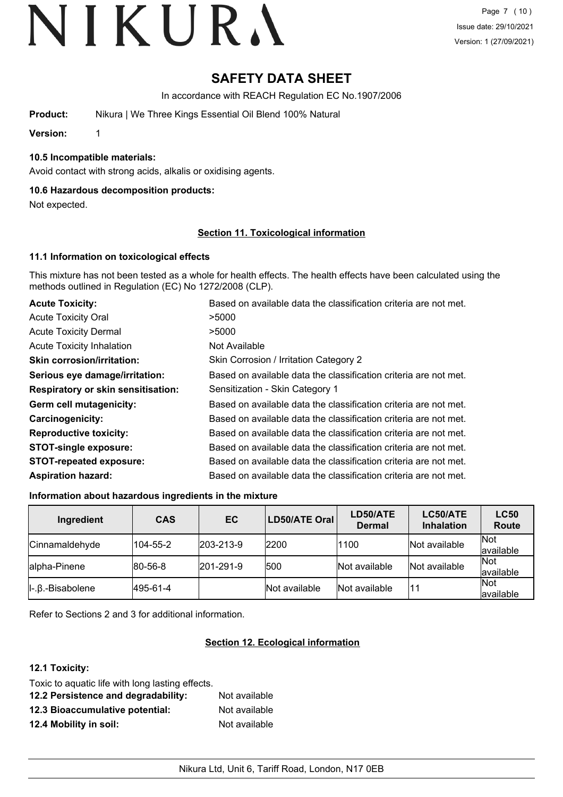## **SAFETY DATA SHEET**

In accordance with REACH Regulation EC No.1907/2006

**Product:** Nikura | We Three Kings Essential Oil Blend 100% Natural

**Version:** 1

## **10.5 Incompatible materials:**

Avoid contact with strong acids, alkalis or oxidising agents.

### **10.6 Hazardous decomposition products:**

Not expected.

### **Section 11. Toxicological information**

## **11.1 Information on toxicological effects**

This mixture has not been tested as a whole for health effects. The health effects have been calculated using the methods outlined in Regulation (EC) No 1272/2008 (CLP).

| <b>Acute Toxicity:</b>                    | Based on available data the classification criteria are not met. |
|-------------------------------------------|------------------------------------------------------------------|
| <b>Acute Toxicity Oral</b>                | >5000                                                            |
| <b>Acute Toxicity Dermal</b>              | >5000                                                            |
| <b>Acute Toxicity Inhalation</b>          | Not Available                                                    |
| <b>Skin corrosion/irritation:</b>         | Skin Corrosion / Irritation Category 2                           |
| Serious eye damage/irritation:            | Based on available data the classification criteria are not met. |
| <b>Respiratory or skin sensitisation:</b> | Sensitization - Skin Category 1                                  |
| Germ cell mutagenicity:                   | Based on available data the classification criteria are not met. |
| <b>Carcinogenicity:</b>                   | Based on available data the classification criteria are not met. |
| <b>Reproductive toxicity:</b>             | Based on available data the classification criteria are not met. |
| <b>STOT-single exposure:</b>              | Based on available data the classification criteria are not met. |
| <b>STOT-repeated exposure:</b>            | Based on available data the classification criteria are not met. |
| <b>Aspiration hazard:</b>                 | Based on available data the classification criteria are not met. |

## **Information about hazardous ingredients in the mixture**

| Ingredient                          | <b>CAS</b>      | EC.               | LD50/ATE Oral | LD50/ATE<br><b>Dermal</b> | LC50/ATE<br><b>Inhalation</b> | <b>LC50</b><br><b>Route</b> |
|-------------------------------------|-----------------|-------------------|---------------|---------------------------|-------------------------------|-----------------------------|
| Cinnamaldehyde                      | 104-55-2        | $ 203 - 213 - 9 $ | 2200          | 1100                      | Not available                 | <b>Not</b><br>available     |
| alpha-Pinene                        | $ 80 - 56 - 8 $ | $ 201 - 291 - 9 $ | 500           | Not available             | Not available                 | Not<br>available            |
| $\parallel$ -. $\beta$ .-Bisabolene | 495-61-4        |                   | Not available | Not available             | 11                            | Not<br>available            |

Refer to Sections 2 and 3 for additional information.

## **Section 12. Ecological information**

## **12.1 Toxicity:**

| Toxic to aquatic life with long lasting effects. |               |
|--------------------------------------------------|---------------|
| 12.2 Persistence and degradability:              | Not available |
| 12.3 Bioaccumulative potential:                  | Not available |
| 12.4 Mobility in soil:                           | Not available |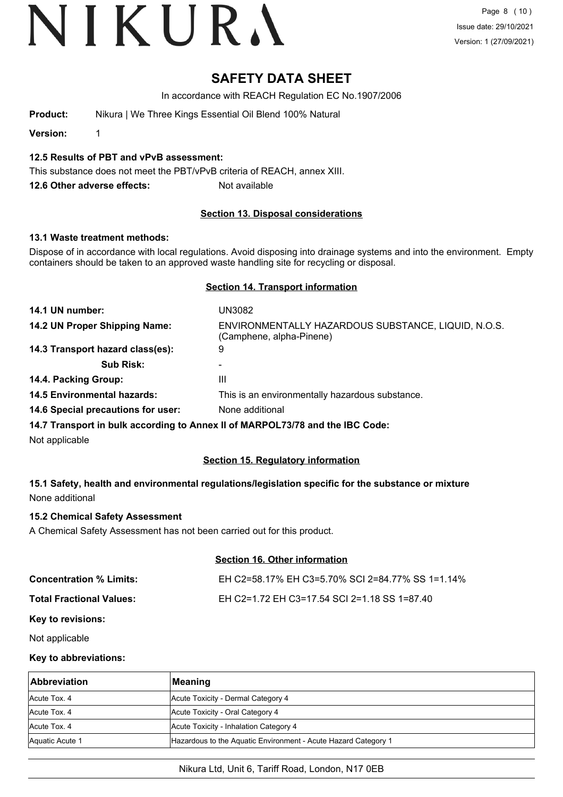## **SAFETY DATA SHEET**

In accordance with REACH Regulation EC No.1907/2006

**Product:** Nikura | We Three Kings Essential Oil Blend 100% Natural

**Version:** 1

## **12.5 Results of PBT and vPvB assessment:**

This substance does not meet the PBT/vPvB criteria of REACH, annex XIII.

**12.6 Other adverse effects:** Not available

## **Section 13. Disposal considerations**

## **13.1 Waste treatment methods:**

Dispose of in accordance with local regulations. Avoid disposing into drainage systems and into the environment. Empty containers should be taken to an approved waste handling site for recycling or disposal.

## **Section 14. Transport information**

| 14.1 UN number:                    | UN3082                                                                                |
|------------------------------------|---------------------------------------------------------------------------------------|
| 14.2 UN Proper Shipping Name:      | ENVIRONMENTALLY HAZARDOUS SUBSTANCE, LIQUID, N.O.S.<br>(Camphene, alpha-Pinene)       |
| 14.3 Transport hazard class(es):   | 9                                                                                     |
| <b>Sub Risk:</b>                   |                                                                                       |
| 14.4. Packing Group:               | Ш                                                                                     |
| <b>14.5 Environmental hazards:</b> | This is an environmentally hazardous substance.                                       |
| 14.6 Special precautions for user: | None additional                                                                       |
|                                    | 44.7. Thomas and by built a coordings to America High MADDOL 70/70 and the IDO Ocaler |

**14.7 Transport in bulk according to Annex II of MARPOL73/78 and the IBC Code:**

Not applicable

## **Section 15. Regulatory information**

## **15.1 Safety, health and environmental regulations/legislation specific for the substance or mixture** None additional

## **15.2 Chemical Safety Assessment**

A Chemical Safety Assessment has not been carried out for this product.

## **Section 16. Other information**

| <b>Concentration % Limits:</b>  | EH C2=58.17% EH C3=5.70% SCI 2=84.77% SS 1=1.14% |
|---------------------------------|--------------------------------------------------|
| <b>Total Fractional Values:</b> | EH C2=1.72 EH C3=17.54 SCI 2=1.18 SS 1=87.40     |

## **Key to revisions:**

Not applicable

## **Key to abbreviations:**

| <b>Abbreviation</b> | Meaning                                                        |
|---------------------|----------------------------------------------------------------|
| Acute Tox. 4        | Acute Toxicity - Dermal Category 4                             |
| Acute Tox. 4        | Acute Toxicity - Oral Category 4                               |
| Acute Tox. 4        | Acute Toxicity - Inhalation Category 4                         |
| Aquatic Acute 1     | Hazardous to the Aquatic Environment - Acute Hazard Category 1 |

## Nikura Ltd, Unit 6, Tariff Road, London, N17 0EB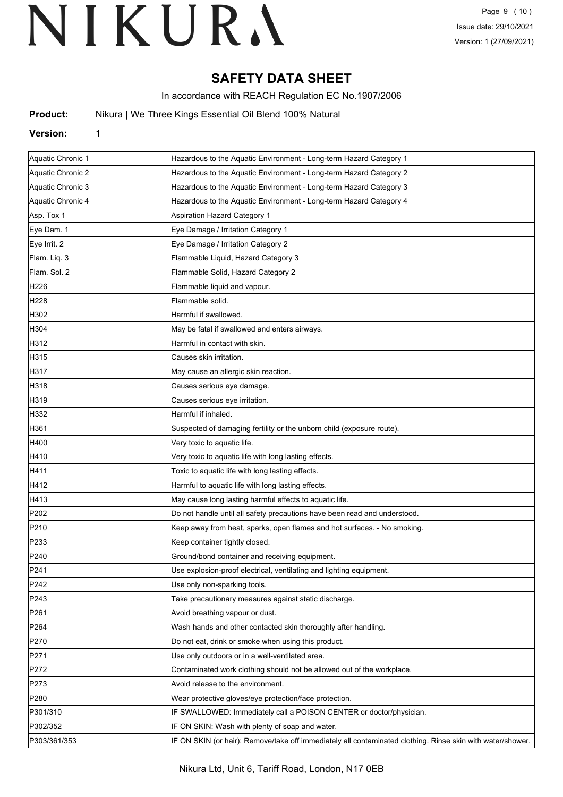## **SAFETY DATA SHEET**

In accordance with REACH Regulation EC No.1907/2006

**Product:** Nikura | We Three Kings Essential Oil Blend 100% Natural

## **Version:** 1

| Aquatic Chronic 1 | Hazardous to the Aquatic Environment - Long-term Hazard Category 1        |
|-------------------|---------------------------------------------------------------------------|
| Aquatic Chronic 2 | Hazardous to the Aquatic Environment - Long-term Hazard Category 2        |
| Aquatic Chronic 3 | Hazardous to the Aquatic Environment - Long-term Hazard Category 3        |
| Aquatic Chronic 4 | Hazardous to the Aquatic Environment - Long-term Hazard Category 4        |
| Asp. Tox 1        | <b>Aspiration Hazard Category 1</b>                                       |
| Eye Dam. 1        | Eye Damage / Irritation Category 1                                        |
| Eye Irrit. 2      | Eye Damage / Irritation Category 2                                        |
| Flam. Liq. 3      | Flammable Liquid, Hazard Category 3                                       |
| Flam. Sol. 2      | Flammable Solid, Hazard Category 2                                        |
| H226              | Flammable liquid and vapour.                                              |
| H <sub>228</sub>  | Flammable solid.                                                          |
| H302              | Harmful if swallowed.                                                     |
| H304              | May be fatal if swallowed and enters airways.                             |
| H312              | Harmful in contact with skin.                                             |
| H315              | Causes skin irritation.                                                   |
| H317              | May cause an allergic skin reaction.                                      |
| H318              | Causes serious eye damage.                                                |
| H319              | Causes serious eye irritation.                                            |
| H332              | Harmful if inhaled.                                                       |
| H361              | Suspected of damaging fertility or the unborn child (exposure route).     |
| H400              | Very toxic to aquatic life.                                               |
| H410              | Very toxic to aquatic life with long lasting effects.                     |
| H411              | Toxic to aquatic life with long lasting effects.                          |
| H412              | Harmful to aquatic life with long lasting effects.                        |
| H413              | May cause long lasting harmful effects to aquatic life.                   |
| P <sub>202</sub>  | Do not handle until all safety precautions have been read and understood. |
| P210              | Keep away from heat, sparks, open flames and hot surfaces. - No smoking.  |
| P233              | Keep container tightly closed.                                            |
| P240              | Ground/bond container and receiving equipment.                            |
| P241              | Use explosion-proof electrical, ventilating and lighting equipment.       |
| P <sub>242</sub>  | Use only non-sparking tools.                                              |
| P243              | Take precautionary measures against static discharge.                     |
| P261              | Avoid breathing vapour or dust.                                           |
| P264              | Wash hands and other contacted skin thoroughly after handling.            |
| P270              | Do not eat, drink or smoke when using this product.                       |
| P271              | Use only outdoors or in a well-ventilated area.                           |
| P272              | Contaminated work clothing should not be allowed out of the workplace.    |
| P273              | Avoid release to the environment.                                         |
| P280              | Wear protective gloves/eye protection/face protection.                    |
| P301/310          | IF SWALLOWED: Immediately call a POISON CENTER or doctor/physician.       |
|                   |                                                                           |
| P302/352          | IF ON SKIN: Wash with plenty of soap and water.                           |

Nikura Ltd, Unit 6, Tariff Road, London, N17 0EB